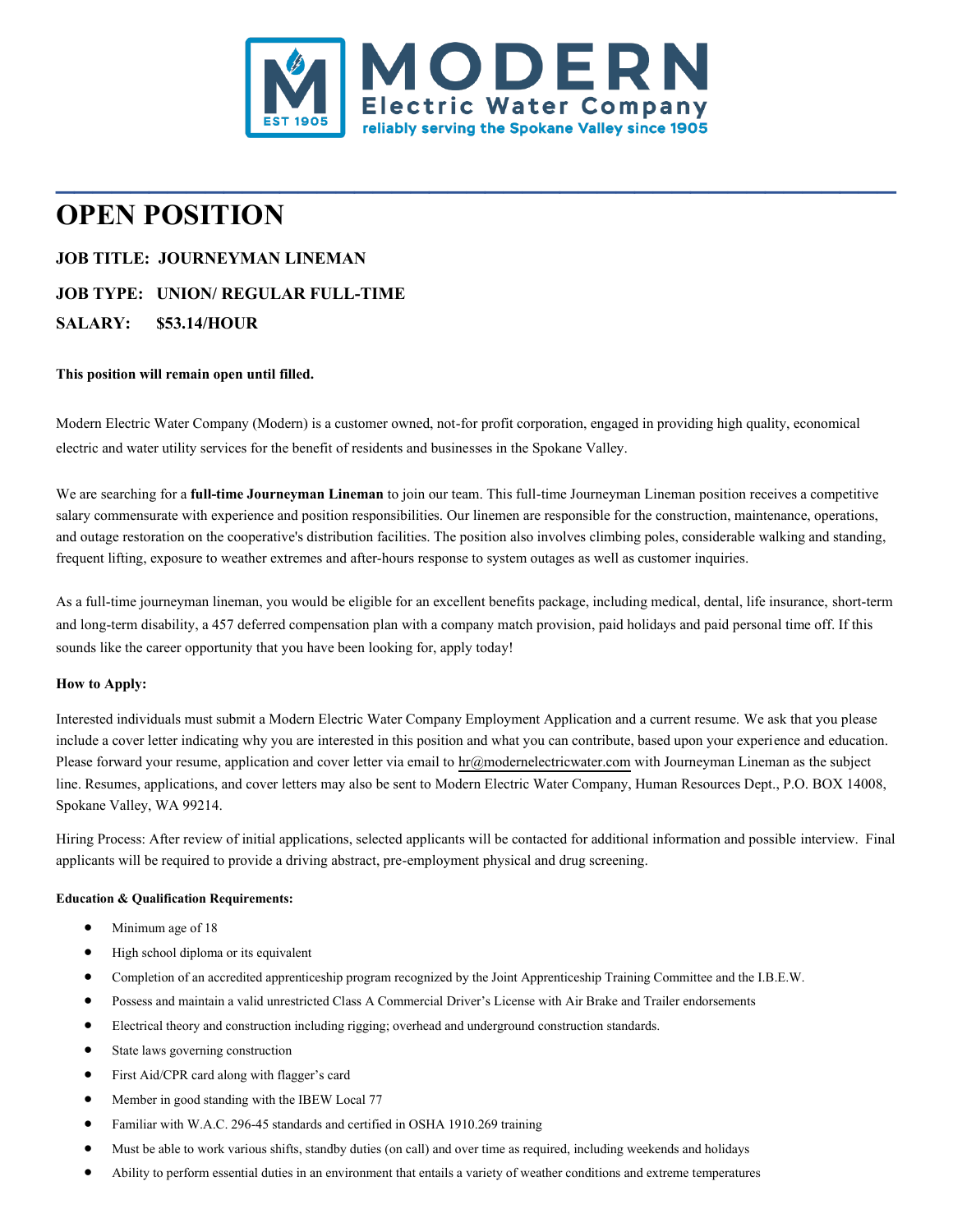

**\_\_\_\_\_\_\_\_\_\_\_\_\_\_\_\_\_\_\_\_\_\_\_\_\_\_\_\_\_\_\_\_\_\_\_\_\_\_\_\_\_\_\_\_\_**

# **OPEN POSITION**

# **JOB TITLE: JOURNEYMAN LINEMAN JOB TYPE: UNION/ REGULAR FULL-TIME SALARY: \$53.14/HOUR**

## **This position will remain open until filled.**

Modern Electric Water Company (Modern) is a customer owned, not-for profit corporation, engaged in providing high quality, economical electric and water utility services for the benefit of residents and businesses in the Spokane Valley.

We are searching for a **full-time Journeyman Lineman** to join our team. This full-time Journeyman Lineman position receives a competitive salary commensurate with experience and position responsibilities. Our linemen are responsible for the construction, maintenance, operations, and outage restoration on the cooperative's distribution facilities. The position also involves climbing poles, considerable walking and standing, frequent lifting, exposure to weather extremes and after-hours response to system outages as well as customer inquiries.

As a full-time journeyman lineman, you would be eligible for an excellent benefits package, including medical, dental, life insurance, short-term and long-term disability, a 457 deferred compensation plan with a company match provision, paid holidays and paid personal time off. If this sounds like the career opportunity that you have been looking for, apply today!

## **How to Apply:**

Interested individuals must submit a Modern Electric Water Company Employment Application and a current resume. We ask that you please include a cover letter indicating why you are interested in this position and what you can contribute, based upon your experience and education. Please forward your resume, application and cover letter via email t[o hr@modernelectricwater.com](mailto:hr@modernelectricwater.com) with Journeyman Lineman as the subject line. Resumes, applications, and cover letters may also be sent to Modern Electric Water Company, Human Resources Dept., P.O. BOX 14008, Spokane Valley, WA 99214.

Hiring Process: After review of initial applications, selected applicants will be contacted for additional information and possible interview. Final applicants will be required to provide a driving abstract, pre-employment physical and drug screening.

## **Education & Qualification Requirements:**

- Minimum age of 18
- High school diploma or its equivalent
- Completion of an accredited apprenticeship program recognized by the Joint Apprenticeship Training Committee and the I.B.E.W.
- Possess and maintain a valid unrestricted Class A Commercial Driver's License with Air Brake and Trailer endorsements
- Electrical theory and construction including rigging; overhead and underground construction standards.
- State laws governing construction
- First Aid/CPR card along with flagger's card
- Member in good standing with the IBEW Local 77
- Familiar with W.A.C. 296-45 standards and certified in OSHA 1910.269 training
- Must be able to work various shifts, standby duties (on call) and over time as required, including weekends and holidays
- Ability to perform essential duties in an environment that entails a variety of weather conditions and extreme temperatures